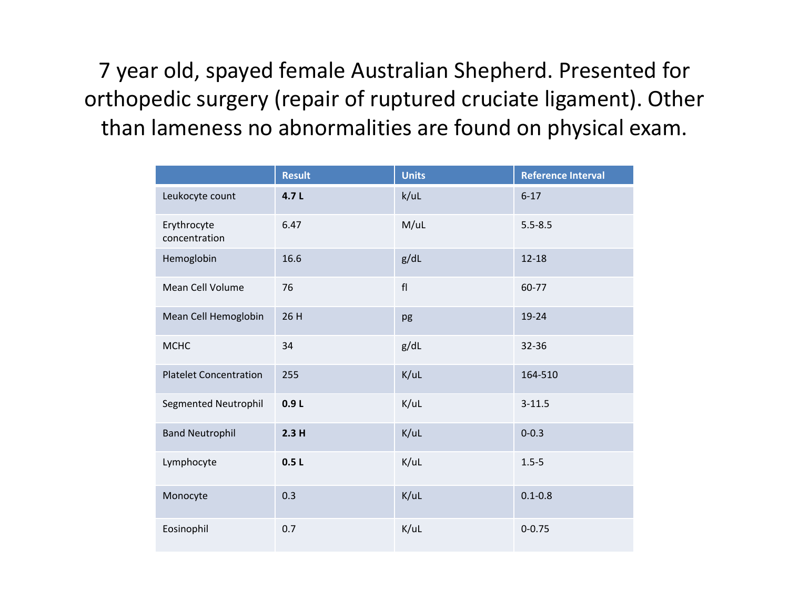7 year old, spayed female Australian Shepherd. Presented for orthopedic surgery (repair of ruptured cruciate ligament). Other than lameness no abnormalities are found on physical exam.

|                               | <b>Result</b> | <b>Units</b> | <b>Reference Interval</b> |
|-------------------------------|---------------|--------------|---------------------------|
| Leukocyte count               | 4.7L          | k/ul         | $6 - 17$                  |
| Erythrocyte<br>concentration  | 6.47          | M/UL         | $5.5 - 8.5$               |
| Hemoglobin                    | 16.6          | g/dL         | $12 - 18$                 |
| Mean Cell Volume              | 76            | ${\sf fl}$   | 60-77                     |
| Mean Cell Hemoglobin          | 26 H          | pg           | 19-24                     |
| <b>MCHC</b>                   | 34            | g/dL         | 32-36                     |
| <b>Platelet Concentration</b> | 255           | K/UL         | 164-510                   |
| Segmented Neutrophil          | 0.9L          | K/uL         | $3 - 11.5$                |
| <b>Band Neutrophil</b>        | 2.3H          | K/UL         | $0 - 0.3$                 |
| Lymphocyte                    | 0.5L          | K/uL         | $1.5 - 5$                 |
| Monocyte                      | 0.3           | K/UL         | $0.1 - 0.8$               |
| Eosinophil                    | 0.7           | K/UL         | $0 - 0.75$                |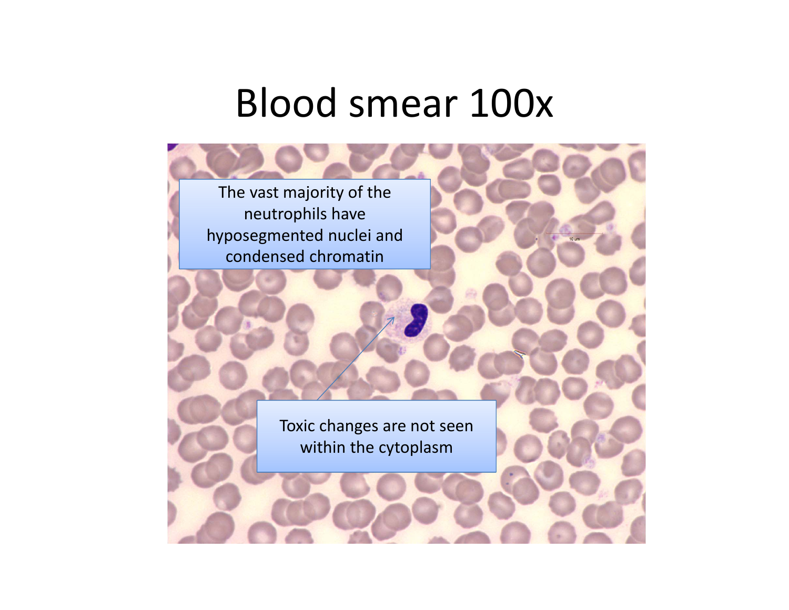#### Blood smear 100x

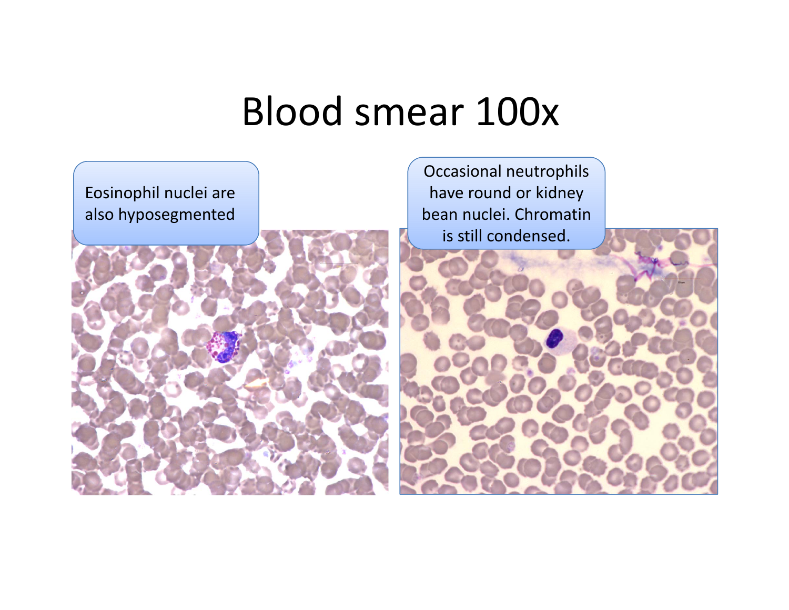#### Blood smear 100x

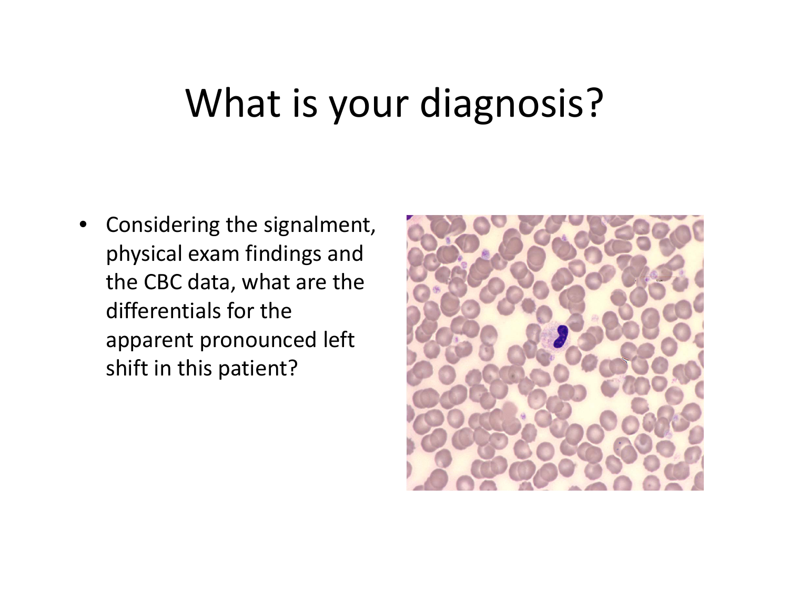## What is your diagnosis?

• Considering the signalment, physical exam findings and the CBC data, what are the differentials for theapparent pronounced left shift in this patient?

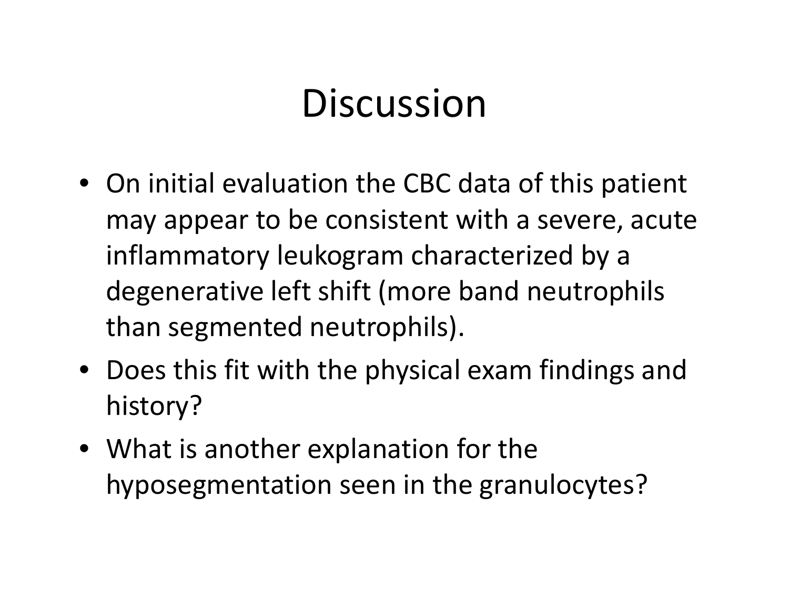# **Discussion**

- On initial evaluation the CBC data of this patient may appear to be consistent with <sup>a</sup> severe, acute inflammatory leukogram characterized by <sup>a</sup> degenerative left shift (more band neutrophils than segmented neutrophils).
- Does this fit with the physical exam findings and history?
- What is another explanation for the hyposegmentation seen in the granulocytes?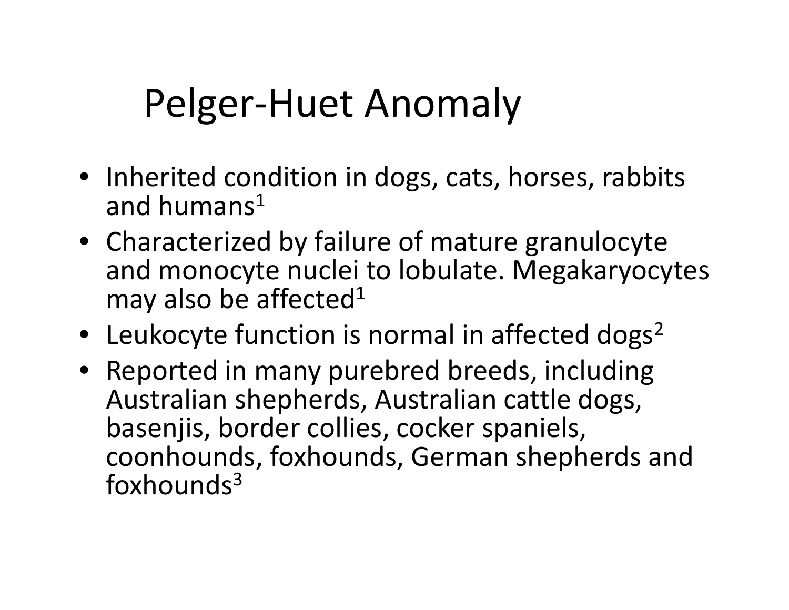# Pelger‐Huet Anomaly

- Inherited condition in dogs, cats, horses, rabbits and humans $^1$
- Characterized by failure of mature granulocyte and monocyte nuclei to lobulate. Megakaryocytes may also be affected<sup>1</sup>
- Leukocyte function is normal in affected dogs<sup>2</sup>
- Reported in many purebred breeds, including Australian shepherds, Australian cattle dogs, basenjis, border collies, cocker spaniels, coonhounds, foxhounds, German shepherds and  $f(x)$ hounds<sup>3</sup>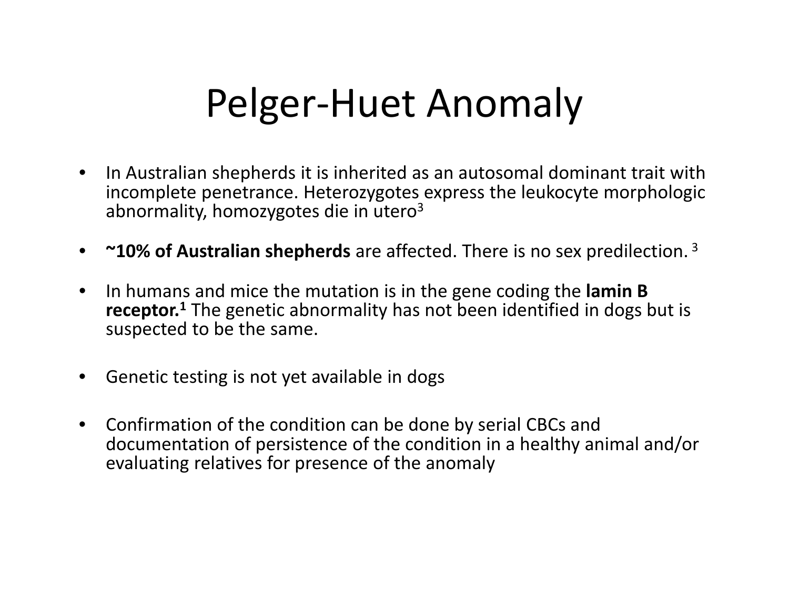## Pelger‐Huet Anomaly

- $\bullet$  $\bullet$  In Australian shepherds it is inherited as an autosomal dominant trait with incomplete penetrance. Heterozygotes express the leukocyte morphologic abnormality, homozygotes die in utero<sup>3</sup>
- $\bullet$ **~10% of Australian shepherds** are affected. There is no sex predilection. <sup>3</sup>
- $\bullet$  In humans and mice the mutation is in the gene coding the **lamin B receptor.<sup>1</sup>** The genetic abnormality has not been identified in dogs but is suspected to be the same.
- $\bullet$ **•** Genetic testing is not yet available in dogs
- $\bullet$  Confirmation of the condition can be done by serial CBCs and documentation of persistence of the condition in <sup>a</sup> healthy animal and/or evaluating relatives for presence of the anomaly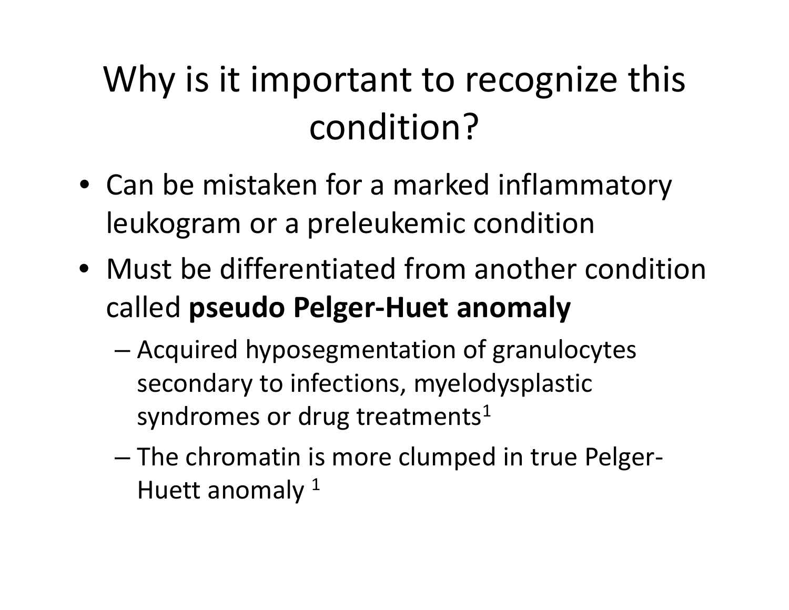## Why is it important to recognize this condition?

- Can be mistaken for <sup>a</sup> marked inflammatory leukogram or <sup>a</sup> preleukemic condition
- Must be differentiated from another condition called **pseudo Pelger‐Huet anomaly**
	- – Acquired hyposegmentation of granulocytes secondary to infections, myelodysplastic syndromes or drug treatments<sup>1</sup>
	- – The chromatin is more clumped in true Pelger‐ Huett anomaly  $^{\rm 1}$